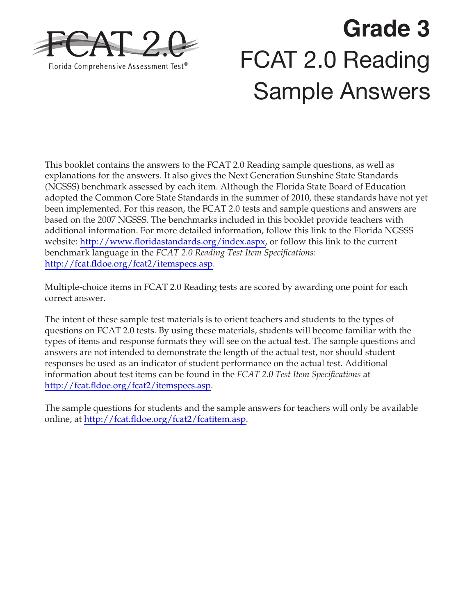

# **Grade 3**  FCAT 2.0 Reading Sample Answers

This booklet contains the answers to the FCAT 2.0 Reading sample questions, as well as explanations for the answers. It also gives the Next Generation Sunshine State Standards (NGSSS) benchmark assessed by each item. Although the Florida State Board of Education adopted the Common Core State Standards in the summer of 2010, these standards have not yet been implemented. For this reason, the FCAT 2.0 tests and sample questions and answers are based on the 2007 NGSSS. The benchmarks included in this booklet provide teachers with additional information. For more detailed information, follow this link to the Florida NGSSS website: [http://www.floridastandards.org/index.aspx,](http://www.floridastandards.org/index.aspx) or follow this link to the current benchmark language in the *FCAT 2.0 Reading Test Item Specifications*: [http://fcat.fldoe.org/fcat2/itemspecs.asp.](http://fcat.fldoe.org/fcat2/itemspecs.asp)

Multiple-choice items in FCAT 2.0 Reading tests are scored by awarding one point for each correct answer.

The intent of these sample test materials is to orient teachers and students to the types of questions on FCAT 2.0 tests. By using these materials, students will become familiar with the types of items and response formats they will see on the actual test. The sample questions and answers are not intended to demonstrate the length of the actual test, nor should student responses be used as an indicator of student performance on the actual test. Additional information about test items can be found in the *FCAT 2.0 Test Item Specifications* at <http://fcat.fldoe.org/fcat2/itemspecs.asp>.

The sample questions for students and the sample answers for teachers will only be available online, at [http://fcat.fldoe.org/fcat2/fcatitem.asp.](http://fcat.fldoe.org/fcat2/fcatitem.asp)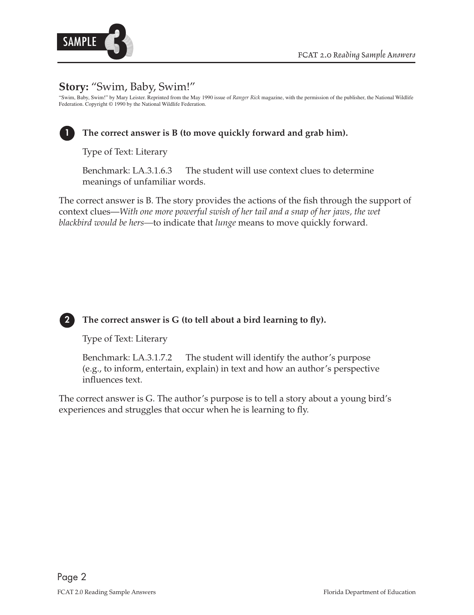

## **Story:** "Swim, Baby, Swim!"

"Swim, Baby, Swim!" by Mary Leister. Reprinted from the May 1990 issue of *Ranger Rick* magazine, with the permission of the publisher, the National Wildlife Federation. Copyright © 1990 by the National Wildlife Federation.



## **1 The correct answer is B (to move quickly forward and grab him).**

Type of Text: Literary

Benchmark: LA.3.1.6.3 The student will use context clues to determine meanings of unfamiliar words.

The correct answer is B. The story provides the actions of the fish through the support of context clues—*With one more powerful swish of her tail and a snap of her jaws, the wet blackbird would be hers—*to indicate that *lunge* means to move quickly forward.



## **2 The correct answer is G (to tell about a bird learning to fly).**

Type of Text: Literary

Benchmark: LA.3.1.7.2 The student will identify the author's purpose (e.g., to inform, entertain, explain) in text and how an author's perspective influences text.

The correct answer is G. The author's purpose is to tell a story about a young bird's experiences and struggles that occur when he is learning to fly.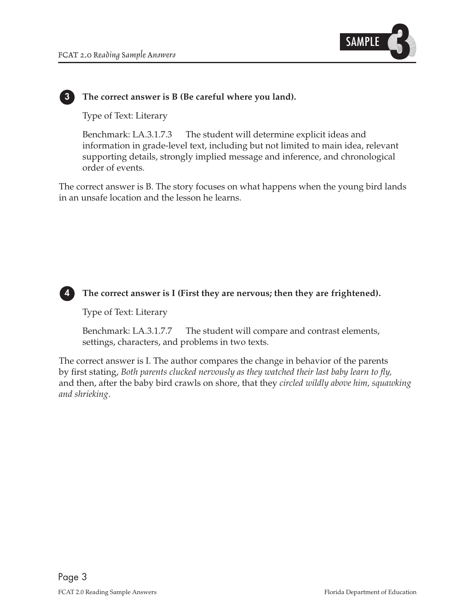

#### **3 The correct answer is B (Be careful where you land).**

Type of Text: Literary

Benchmark: LA.3.1.7.3 The student will determine explicit ideas and information in grade-level text, including but not limited to main idea, relevant supporting details, strongly implied message and inference, and chronological order of events.

The correct answer is B. The story focuses on what happens when the young bird lands in an unsafe location and the lesson he learns.



#### **4 The correct answer is I (First they are nervous; then they are frightened).**

Type of Text: Literary

Benchmark: LA.3.1.7.7 The student will compare and contrast elements, settings, characters, and problems in two texts.

The correct answer is I. The author compares the change in behavior of the parents by first stating, *Both parents clucked nervously as they watched their last baby learn to fly,*  and then, after the baby bird crawls on shore, that they *circled wildly above him, squawking and shrieking*.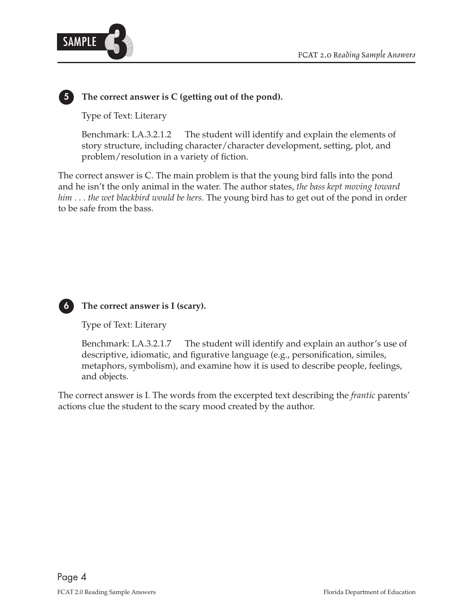

## **5 The correct answer is C (getting out of the pond).**

Type of Text: Literary

Benchmark: LA.3.2.1.2 The student will identify and explain the elements of story structure, including character/character development, setting, plot, and problem/resolution in a variety of fiction.

 and he isn't the only animal in the water. The author states, *the bass kept moving toward him . . . the wet blackbird would be hers*. The young bird has to get out of the pond in order The correct answer is C. The main problem is that the young bird falls into the pond to be safe from the bass.



## **6 The correct answer is I (scary).**

Type of Text: Literary

Benchmark: LA.3.2.1.7 The student will identify and explain an author's use of descriptive, idiomatic, and figurative language (e.g., personification, similes, metaphors, symbolism), and examine how it is used to describe people, feelings, and objects.

The correct answer is I. The words from the excerpted text describing the *frantic* parents' actions clue the student to the scary mood created by the author.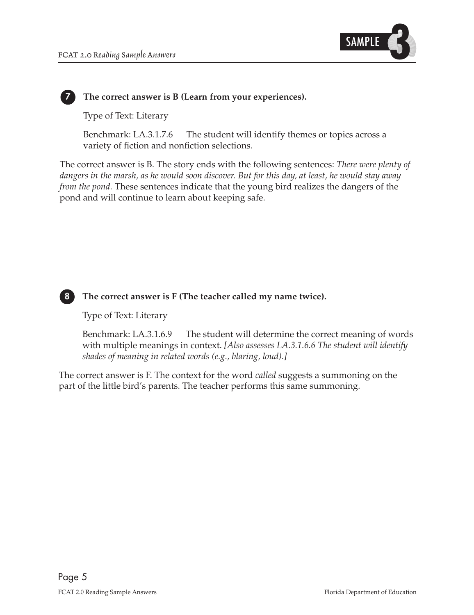

#### **7 The correct answer is B (Learn from your experiences).**

Type of Text: Literary

Benchmark: LA.3.1.7.6 The student will identify themes or topics across a variety of fiction and nonfiction selections.

The correct answer is B. The story ends with the following sentences: *There were plenty of dangers in the marsh, as he would soon discover. But for this day, at least, he would stay away from the pond.* These sentences indicate that the young bird realizes the dangers of the pond and will continue to learn about keeping safe.



## **8 The correct answer is F (The teacher called my name twice).**

Type of Text: Literary

Benchmark: LA.3.1.6.9 The student will determine the correct meaning of words with multiple meanings in context. *[Also assesses LA.3.1.6.6 The student will identify shades of meaning in related words (e.g., blaring, loud).]* 

The correct answer is F. The context for the word *called* suggests a summoning on the part of the little bird's parents. The teacher performs this same summoning.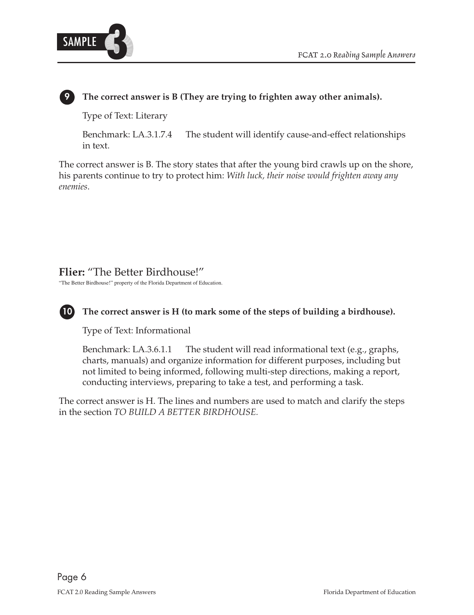

## **9 The correct answer is B (They are trying to frighten away other animals).**

Type of Text: Literary

Benchmark: LA.3.1.7.4 The student will identify cause-and-effect relationships in text.

The correct answer is B. The story states that after the young bird crawls up on the shore, his parents continue to try to protect him: *With luck, their noise would frighten away any enemies*.

## **Flier:** "The Better Birdhouse!"

"The Better Birdhouse!" property of the Florida Department of Education.



## **10 The correct answer is H (to mark some of the steps of building a birdhouse).**

Type of Text: Informational

Benchmark: LA.3.6.1.1 The student will read informational text (e.g., graphs, charts, manuals) and organize information for different purposes, including but not limited to being informed, following multi-step directions, making a report, conducting interviews, preparing to take a test, and performing a task.

The correct answer is H. The lines and numbers are used to match and clarify the steps in the section *TO BUILD A BETTER BIRDHOUSE.*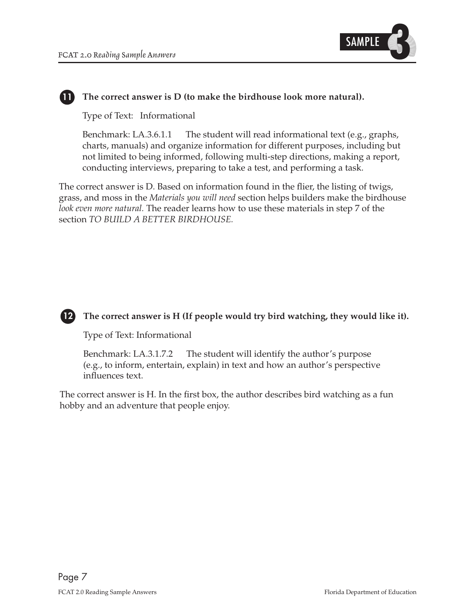

## **11 The correct answer is D (to make the birdhouse look more natural).**

Type of Text: Informational

Benchmark: LA.3.6.1.1 The student will read informational text (e.g., graphs, charts, manuals) and organize information for different purposes, including but not limited to being informed, following multi-step directions, making a report, conducting interviews, preparing to take a test, and performing a task.

The correct answer is D. Based on information found in the flier, the listing of twigs, grass, and moss in the *Materials you will need* section helps builders make the birdhouse *look even more natural.* The reader learns how to use these materials in step 7 of the section *TO BUILD A BETTER BIRDHOUSE.*



## **12 The correct answer is H (If people would try bird watching, they would like it).**

Type of Text: Informational

Benchmark: LA.3.1.7.2 The student will identify the author's purpose (e.g., to inform, entertain, explain) in text and how an author's perspective influences text.

The correct answer is H. In the first box, the author describes bird watching as a fun hobby and an adventure that people enjoy.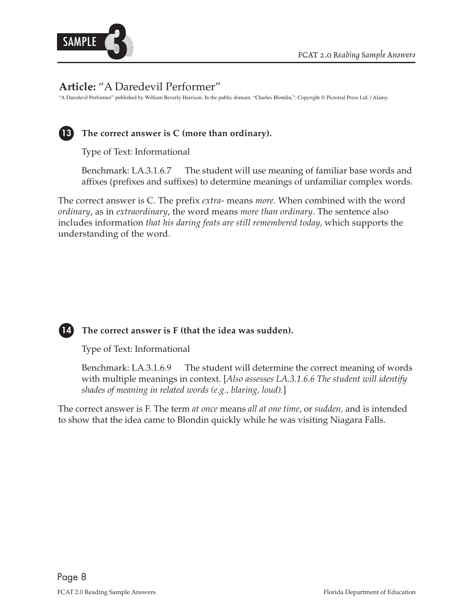

## **Article:** "A Daredevil Performer"

"A Daredevil Performer" published by William Beverly Harrison. In the public domain. "Charles Blondin,": Copyright © Pictorial Press Ltd. / Alamy.



## **13 The correct answer is C (more than ordinary).**

Type of Text: Informational

Benchmark: LA.3.1.6.7 The student will use meaning of familiar base words and affixes (prefixes and suffixes) to determine meanings of unfamiliar complex words.

The correct answer is C. The prefix *extra*- means *more*. When combined with the word *ordinary*, as in *extraordinary*, the word means *more than ordinary*. The sentence also includes information *that his daring feats are still remembered today,* which supports the understanding of the word.



## **14 The correct answer is F (that the idea was sudden).**

Type of Text: Informational

Benchmark: LA.3.1.6.9 The student will determine the correct meaning of words with multiple meanings in context. [*Also assesses LA.3.1.6.6 The student will identify shades of meaning in related words (e.g., blaring, loud).*]

The correct answer is F. The term *at once* means *all at one time*, or *sudden,* and is intended to show that the idea came to Blondin quickly while he was visiting Niagara Falls.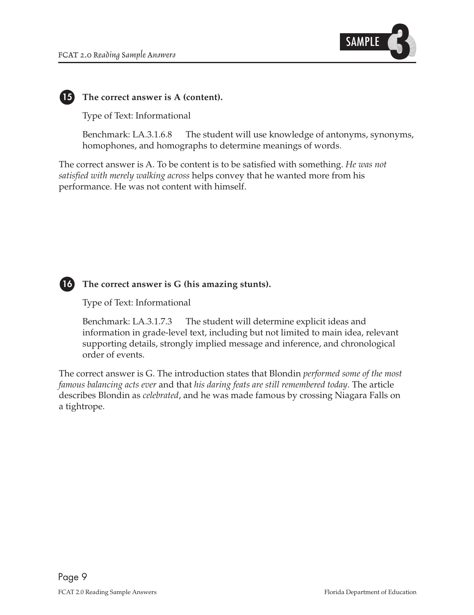

## **15 The correct answer is A (content).**

Type of Text: Informational

Benchmark: LA.3.1.6.8 The student will use knowledge of antonyms, synonyms, homophones, and homographs to determine meanings of words.

The correct answer is A. To be content is to be satisfied with something. *He was not satisfied with merely walking across* helps convey that he wanted more from his performance. He was not content with himself.



#### **16 The correct answer is G (his amazing stunts).**

Type of Text: Informational

Benchmark: LA.3.1.7.3 The student will determine explicit ideas and information in grade-level text, including but not limited to main idea, relevant supporting details, strongly implied message and inference, and chronological order of events.

The correct answer is G. The introduction states that Blondin *performed some of the most famous balancing acts ever* and that *his daring feats are still remembered today*. The article describes Blondin as *celebrated*, and he was made famous by crossing Niagara Falls on a tightrope.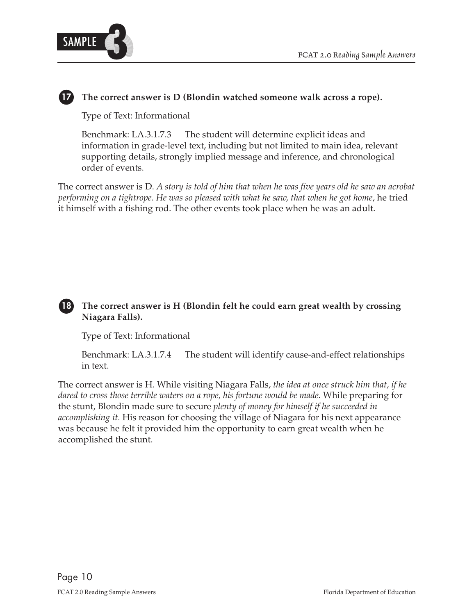

## **17 The correct answer is D (Blondin watched someone walk across a rope).**

Type of Text: Informational

Benchmark: LA.3.1.7.3 The student will determine explicit ideas and information in grade-level text, including but not limited to main idea, relevant supporting details, strongly implied message and inference, and chronological order of events.

 The correct answer is D. *A story is told of him that when he was five years old he saw an acrobat performing on a tightrope*. *He was so pleased with what he saw, that when he got home*, he tried it himself with a fishing rod. The other events took place when he was an adult.

## **18 The correct answer is H (Blondin felt he could earn great wealth by crossing Niagara Falls).**

Type of Text: Informational

Benchmark: LA.3.1.7.4 The student will identify cause-and-effect relationships in text.

The correct answer is H. While visiting Niagara Falls, *the idea at once struck him that, if he dared to cross those terrible waters on a rope, his fortune would be made.* While preparing for the stunt, Blondin made sure to secure *plenty of money for himself if he succeeded in accomplishing it.* His reason for choosing the village of Niagara for his next appearance was because he felt it provided him the opportunity to earn great wealth when he accomplished the stunt.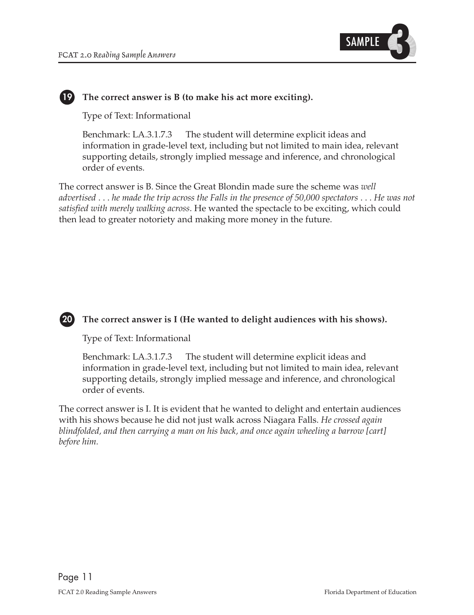

## **19 The correct answer is B (to make his act more exciting).**

Type of Text: Informational

Benchmark: LA.3.1.7.3 The student will determine explicit ideas and information in grade-level text, including but not limited to main idea, relevant supporting details, strongly implied message and inference, and chronological order of events.

 *advertised* . . . *he made the trip across the Falls in the presence of 50,000 spectators* . . . *He was not* The correct answer is B. Since the Great Blondin made sure the scheme was *well satisfied with merely walking across*. He wanted the spectacle to be exciting, which could then lead to greater notoriety and making more money in the future.

## **20 The correct answer is I (He wanted to delight audiences with his shows).**

Type of Text: Informational

Benchmark: LA.3.1.7.3 The student will determine explicit ideas and information in grade-level text, including but not limited to main idea, relevant supporting details, strongly implied message and inference, and chronological order of events.

 *blindfolded, and then carrying a man on his back, and once again wheeling a barrow [cart]*  The correct answer is I. It is evident that he wanted to delight and entertain audiences with his shows because he did not just walk across Niagara Falls. *He crossed again before him.*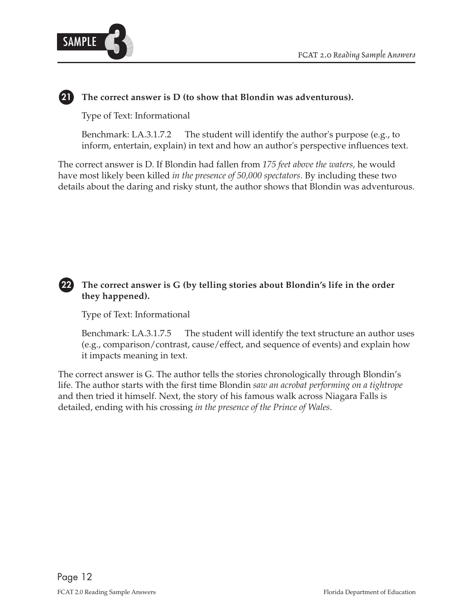

## **21 The correct answer is D (to show that Blondin was adventurous).**

Type of Text: Informational

Benchmark: LA.3.1.7.2 The student will identify the author's purpose (e.g., to inform, entertain, explain) in text and how an author's perspective influences text.

The correct answer is D. If Blondin had fallen from *175 feet above the waters,* he would have most likely been killed *in the presence of 50,000 spectators*. By including these two details about the daring and risky stunt, the author shows that Blondin was adventurous.

## **22 The correct answer is G (by telling stories about Blondin's life in the order they happened).**

Type of Text: Informational

Benchmark: LA.3.1.7.5 The student will identify the text structure an author uses (e.g., comparison/contrast, cause/effect, and sequence of events) and explain how it impacts meaning in text.

 life. The author starts with the first time Blondin *saw an acrobat performing on a tightrope*  The correct answer is G. The author tells the stories chronologically through Blondin's and then tried it himself. Next, the story of his famous walk across Niagara Falls is detailed, ending with his crossing *in the presence of the Prince of Wales*.